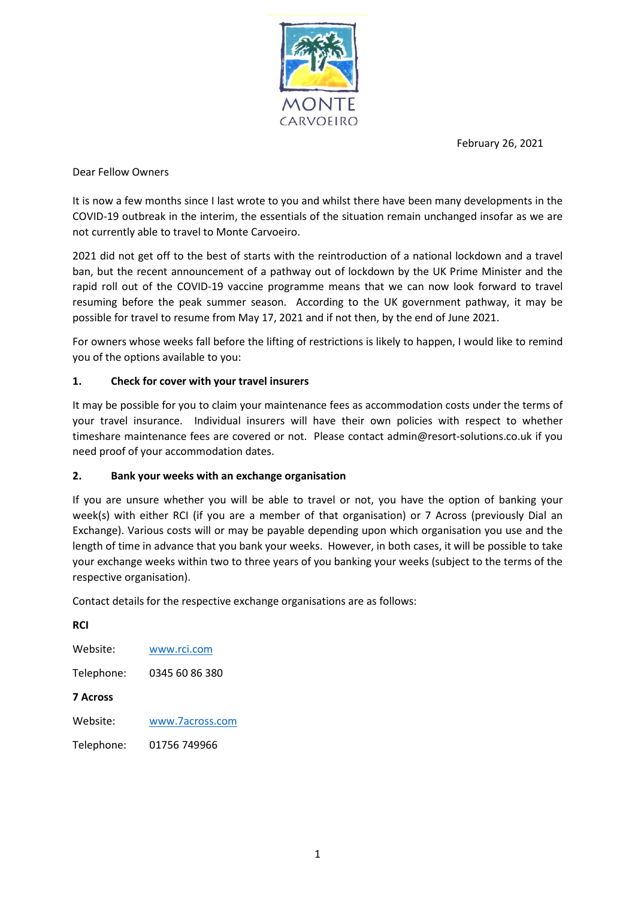February 26, 2021



Dear Fellow Owners

It is now a few months since I last wrote to you and whilst there have been many developments in the COVID-19 outbreak in the interim, the essentials of the situation remain unchanged insofar as we are not currently able to travel to Monte Carvoeiro.

2021 did not get off to the best of starts with the reintroduction of a national lockdown and a travel ban, but the recent announcement of a pathway out of lockdown by the UK Prime Minister and the rapid roll out of the COVID-19 vaccine programme means that we can now look forward to travel resuming before the peak summer season. According to the UK government pathway, it may be possible for travel to resume from May 17, 2021 and if not then, by the end of June 2021.

For owners whose weeks fall before the lifting of restrictions is likely to happen, I would like to remind you of the options available to you:

## 1. Check for cover with your travel insurers

It may be possible for you to claim your maintenance fees as accommodation costs under the terms of your travel insurance. Individual insurers will have their own policies with respect to whether timeshare maintenance fees are covered or not. Please contact admin@resort-solutions.co.uk if you need proof of your accommodation dates.

## 2. Bank your weeks with an exchange organisation

If you are unsure whether you will be able to travel or not, you have the option of banking your week(s) with either RCI (if you are a member of that organisation) or 7 Across (previously Dial an Exchange). Various costs will or may be payable depending upon which organisation you use and the length of time in advance that you bank your weeks. However, in both cases, it will be possible to take your exchange weeks within two to three years of you banking your weeks (subject to the terms of the respective organisation).

Contact details for the respective exchange organisations are as follows:

RCI Website: www.rci.com Telephone: 0345 60 86 380 7 Across Website: www.7across.com Telephone: 01756 749966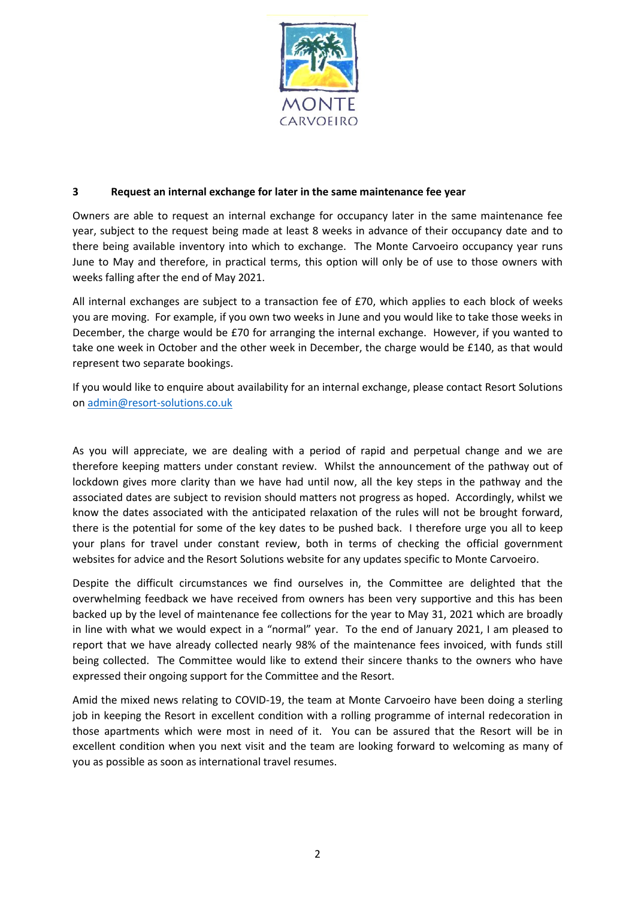

## 3 Request an internal exchange for later in the same maintenance fee year

Owners are able to request an internal exchange for occupancy later in the same maintenance fee year, subject to the request being made at least 8 weeks in advance of their occupancy date and to there being available inventory into which to exchange. The Monte Carvoeiro occupancy year runs June to May and therefore, in practical terms, this option will only be of use to those owners with weeks falling after the end of May 2021.

All internal exchanges are subject to a transaction fee of £70, which applies to each block of weeks you are moving. For example, if you own two weeks in June and you would like to take those weeks in December, the charge would be £70 for arranging the internal exchange. However, if you wanted to take one week in October and the other week in December, the charge would be £140, as that would represent two separate bookings.

If you would like to enquire about availability for an internal exchange, please contact Resort Solutions on admin@resort-solutions.co.uk

As you will appreciate, we are dealing with a period of rapid and perpetual change and we are therefore keeping matters under constant review. Whilst the announcement of the pathway out of lockdown gives more clarity than we have had until now, all the key steps in the pathway and the associated dates are subject to revision should matters not progress as hoped. Accordingly, whilst we know the dates associated with the anticipated relaxation of the rules will not be brought forward, there is the potential for some of the key dates to be pushed back. I therefore urge you all to keep your plans for travel under constant review, both in terms of checking the official government websites for advice and the Resort Solutions website for any updates specific to Monte Carvoeiro.

Despite the difficult circumstances we find ourselves in, the Committee are delighted that the overwhelming feedback we have received from owners has been very supportive and this has been backed up by the level of maintenance fee collections for the year to May 31, 2021 which are broadly in line with what we would expect in a "normal" year. To the end of January 2021, I am pleased to report that we have already collected nearly 98% of the maintenance fees invoiced, with funds still being collected. The Committee would like to extend their sincere thanks to the owners who have expressed their ongoing support for the Committee and the Resort.

Amid the mixed news relating to COVID-19, the team at Monte Carvoeiro have been doing a sterling job in keeping the Resort in excellent condition with a rolling programme of internal redecoration in those apartments which were most in need of it. You can be assured that the Resort will be in excellent condition when you next visit and the team are looking forward to welcoming as many of you as possible as soon as international travel resumes.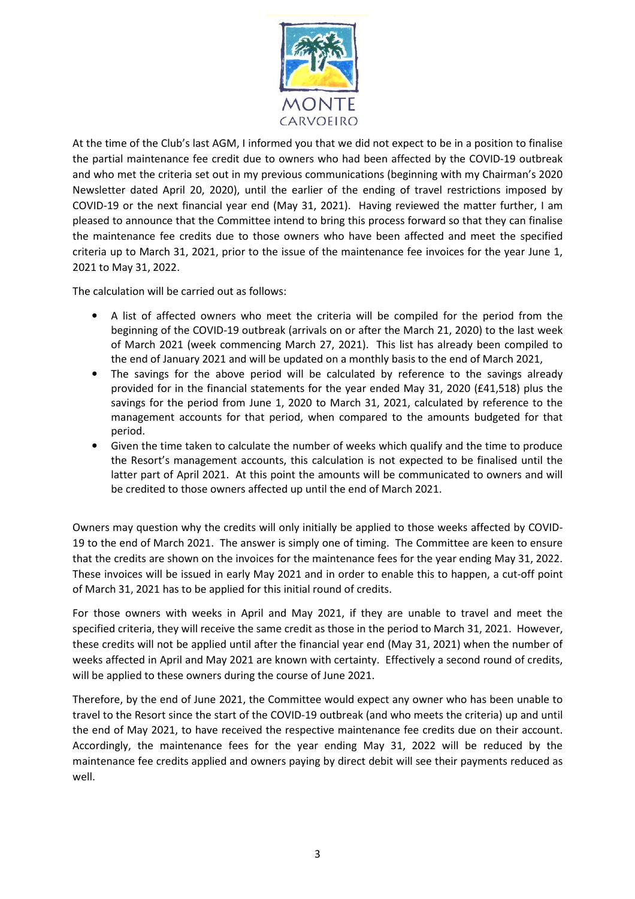

At the time of the Club's last AGM, I informed you that we did not expect to be in a position to finalise the partial maintenance fee credit due to owners who had been affected by the COVID-19 outbreak and who met the criteria set out in my previous communications (beginning with my Chairman's 2020 Newsletter dated April 20, 2020), until the earlier of the ending of travel restrictions imposed by COVID-19 or the next financial year end (May 31, 2021). Having reviewed the matter further, I am pleased to announce that the Committee intend to bring this process forward so that they can finalise the maintenance fee credits due to those owners who have been affected and meet the specified criteria up to March 31, 2021, prior to the issue of the maintenance fee invoices for the year June 1, 2021 to May 31, 2022.

The calculation will be carried out as follows:

- A list of affected owners who meet the criteria will be compiled for the period from the beginning of the COVID-19 outbreak (arrivals on or after the March 21, 2020) to the last week of March 2021 (week commencing March 27, 2021). This list has already been compiled to the end of January 2021 and will be updated on a monthly basis to the end of March 2021,
- The savings for the above period will be calculated by reference to the savings already provided for in the financial statements for the year ended May 31, 2020 (£41,518) plus the savings for the period from June 1, 2020 to March 31, 2021, calculated by reference to the management accounts for that period, when compared to the amounts budgeted for that period.
- Given the time taken to calculate the number of weeks which qualify and the time to produce the Resort's management accounts, this calculation is not expected to be finalised until the latter part of April 2021. At this point the amounts will be communicated to owners and will be credited to those owners affected up until the end of March 2021.

Owners may question why the credits will only initially be applied to those weeks affected by COVID-19 to the end of March 2021. The answer is simply one of timing. The Committee are keen to ensure that the credits are shown on the invoices for the maintenance fees for the year ending May 31, 2022. These invoices will be issued in early May 2021 and in order to enable this to happen, a cut-off point of March 31, 2021 has to be applied for this initial round of credits.

For those owners with weeks in April and May 2021, if they are unable to travel and meet the specified criteria, they will receive the same credit as those in the period to March 31, 2021. However, these credits will not be applied until after the financial year end (May 31, 2021) when the number of weeks affected in April and May 2021 are known with certainty. Effectively a second round of credits, will be applied to these owners during the course of June 2021.

Therefore, by the end of June 2021, the Committee would expect any owner who has been unable to travel to the Resort since the start of the COVID-19 outbreak (and who meets the criteria) up and until the end of May 2021, to have received the respective maintenance fee credits due on their account. Accordingly, the maintenance fees for the year ending May 31, 2022 will be reduced by the maintenance fee credits applied and owners paying by direct debit will see their payments reduced as well.